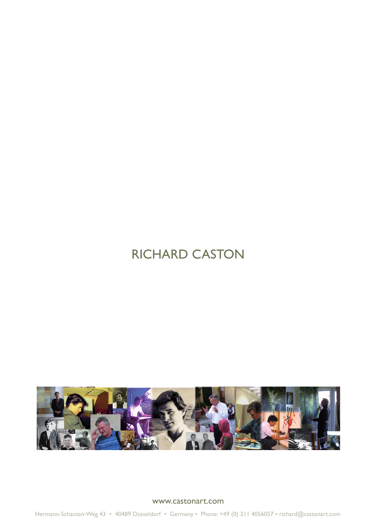# RICHARD CASTON



www.castonart.com